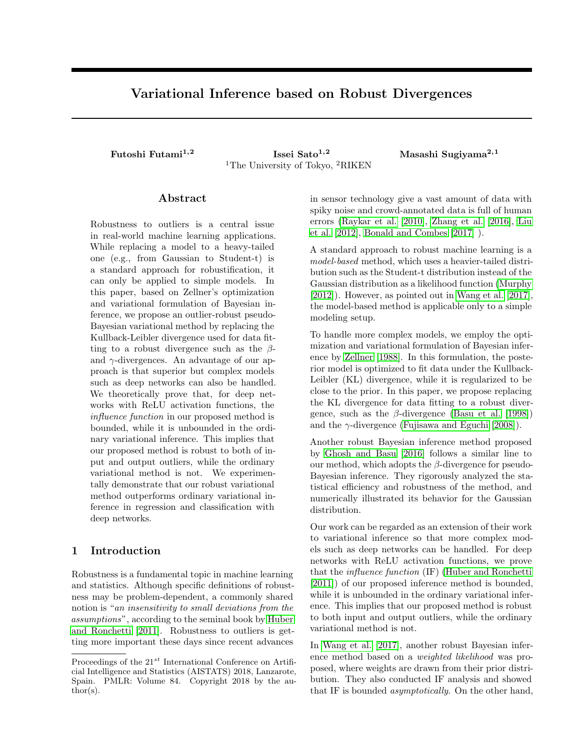# **Variational Inference based on Robust Divergences**

**Futoshi Futami1,2 Issei Sato1,2 Masashi Sugiyama2,1** <sup>1</sup>The University of Tokyo, <sup>2</sup>RIKEN

# **Abstract**

Robustness to outliers is a central issue in real-world machine learning applications. While replacing a model to a heavy-tailed one (e.g., from Gaussian to Student-t) is a standard approach for robustification, it can only be applied to simple models. In this paper, based on Zellner's optimization and variational formulation of Bayesian inference, we propose an outlier-robust pseudo-Bayesian variational method by replacing the Kullback-Leibler divergence used for data fitting to a robust divergence such as the *β*and *γ*-divergences. An advantage of our approach is that superior but complex models such as deep networks can also be handled. We theoretically prove that, for deep networks with ReLU activation functions, the *influence function* in our proposed method is bounded, while it is unbounded in the ordinary variational inference. This implies that our proposed method is robust to both of input and output outliers, while the ordinary variational method is not. We experimentally demonstrate that our robust variational method outperforms ordinary variational inference in regression and classification with deep networks.

# **1 Introduction**

Robustness is a fundamental topic in machine learning and statistics. Although specific definitions of robustness may be problem-dependent, a commonly shared notion is "*an insensitivity to small deviations from the assumptions*", according to the seminal book by [Huber](#page-8-0) [and Ronchetti](#page-8-0) [\[2011\]](#page-8-0). Robustness to outliers is getting more important these days since recent advances in sensor technology give a vast amount of data with spiky noise and crowd-annotated data is full of human errors [\(Raykar et al.](#page-8-1) [\[2010\]](#page-8-1), [Zhang et al.](#page-8-2) [\[2016\]](#page-8-2), [Liu](#page-8-3) [et al.](#page-8-3) [\[2012\]](#page-8-3), [Bonald and Combes](#page-8-4) [\[2017\]](#page-8-4) ).

A standard approach to robust machine learning is a *model-based* method, which uses a heavier-tailed distribution such as the Student-t distribution instead of the Gaussian distribution as a likelihood function [\(Murphy](#page-8-5) [\[2012\]](#page-8-5)). However, as pointed out in [Wang et al.](#page-8-6) [\[2017\]](#page-8-6), the model-based method is applicable only to a simple modeling setup.

To handle more complex models, we employ the optimization and variational formulation of Bayesian inference by [Zellner](#page-8-7) [\[1988\]](#page-8-7). In this formulation, the posterior model is optimized to fit data under the Kullback-Leibler (KL) divergence, while it is regularized to be close to the prior. In this paper, we propose replacing the KL divergence for data fitting to a robust divergence, such as the  $\beta$ -divergence [\(Basu et al.](#page-8-8) [\[1998\]](#page-8-8)) and the  $\gamma$ -divergence [\(Fujisawa and Eguchi](#page-8-9) [\[2008\]](#page-8-9)).

Another robust Bayesian inference method proposed by [Ghosh and Basu](#page-8-10) [\[2016\]](#page-8-10) follows a similar line to our method, which adopts the *β*-divergence for pseudo-Bayesian inference. They rigorously analyzed the statistical efficiency and robustness of the method, and numerically illustrated its behavior for the Gaussian distribution.

Our work can be regarded as an extension of their work to variational inference so that more complex models such as deep networks can be handled. For deep networks with ReLU activation functions, we prove that the *influence function* (IF) [\(Huber and Ronchetti](#page-8-0) [\[2011\]](#page-8-0)) of our proposed inference method is bounded, while it is unbounded in the ordinary variational inference. This implies that our proposed method is robust to both input and output outliers, while the ordinary variational method is not.

In [Wang et al.](#page-8-6) [\[2017\]](#page-8-6), another robust Bayesian inference method based on a *weighted likelihood* was proposed, where weights are drawn from their prior distribution. They also conducted IF analysis and showed that IF is bounded *asymptotically*. On the other hand,

Proceedings of the 21*st* International Conference on Artificial Intelligence and Statistics (AISTATS) 2018, Lanzarote, Spain. PMLR: Volume 84. Copyright 2018 by the author(s).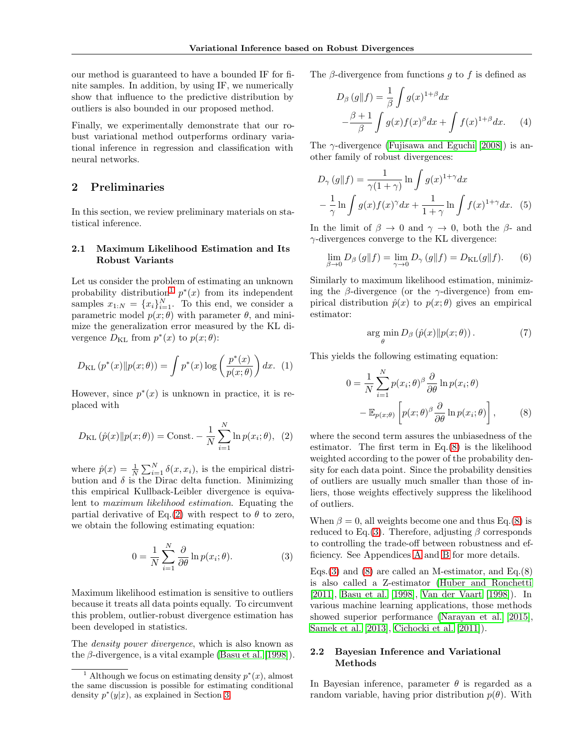our method is guaranteed to have a bounded IF for finite samples. In addition, by using IF, we numerically show that influence to the predictive distribution by outliers is also bounded in our proposed method.

Finally, we experimentally demonstrate that our robust variational method outperforms ordinary variational inference in regression and classification with neural networks.

# **2 Preliminaries**

In this section, we review preliminary materials on statistical inference.

### **2.1 Maximum Likelihood Estimation and Its Robust Variants**

Let us consider the problem of estimating an unknown probability distribution<sup>[1](#page-1-0)</sup>  $p^*(x)$  from its independent samples  $x_{1:N} = \{x_i\}_{i=1}^N$ . To this end, we consider a parametric model  $p(x; \theta)$  with parameter  $\theta$ , and minimize the generalization error measured by the KL divergence  $D_{\text{KL}}$  from  $p^*(x)$  to  $p(x; \theta)$ :

$$
D_{\mathrm{KL}}\left(p^*(x)\|p(x;\theta)\right) = \int p^*(x)\log\left(\frac{p^*(x)}{p(x;\theta)}\right)dx. \tag{1}
$$

However, since  $p^*(x)$  is unknown in practice, it is replaced with

$$
D_{\text{KL}}(\hat{p}(x) \| p(x; \theta)) = \text{Const.} - \frac{1}{N} \sum_{i=1}^{N} \ln p(x_i; \theta), \tag{2}
$$

where  $\hat{p}(x) = \frac{1}{N} \sum_{i=1}^{N} \delta(x, x_i)$ , is the empirical distribution and  $\delta$  is the Dirac delta function. Minimizing this empirical Kullback-Leibler divergence is equivalent to *maximum likelihood estimation*. Equating the partial derivative of Eq.[\(2\)](#page-1-1) with respect to  $\theta$  to zero, we obtain the following estimating equation:

$$
0 = \frac{1}{N} \sum_{i=1}^{N} \frac{\partial}{\partial \theta} \ln p(x_i; \theta).
$$
 (3)

Maximum likelihood estimation is sensitive to outliers because it treats all data points equally. To circumvent this problem, outlier-robust divergence estimation has been developed in statistics.

The *density power divergence*, which is also known as the *β*-divergence, is a vital example [\(Basu et al.](#page-8-8) [\[1998\]](#page-8-8)). The *β*-divergence from functions *g* to *f* is defined as

$$
D_{\beta}(g||f) = \frac{1}{\beta} \int g(x)^{1+\beta} dx
$$

$$
-\frac{\beta+1}{\beta} \int g(x)f(x)^{\beta} dx + \int f(x)^{1+\beta} dx. \tag{4}
$$

The *γ*-divergence [\(Fujisawa and Eguchi](#page-8-9) [\[2008\]](#page-8-9)) is another family of robust divergences:

$$
D_{\gamma}(g||f) = \frac{1}{\gamma(1+\gamma)} \ln \int g(x)^{1+\gamma} dx
$$

$$
-\frac{1}{\gamma} \ln \int g(x)f(x)^{\gamma} dx + \frac{1}{1+\gamma} \ln \int f(x)^{1+\gamma} dx. \tag{5}
$$

In the limit of  $\beta \rightarrow 0$  and  $\gamma \rightarrow 0$ , both the  $\beta$ - and *γ*-divergences converge to the KL divergence:

$$
\lim_{\beta \to 0} D_{\beta} (g \| f) = \lim_{\gamma \to 0} D_{\gamma} (g \| f) = D_{\text{KL}}(g \| f). \tag{6}
$$

Similarly to maximum likelihood estimation, minimizing the *β*-divergence (or the *γ*-divergence) from empirical distribution  $\hat{p}(x)$  to  $p(x;\theta)$  gives an empirical estimator:

<span id="page-1-2"></span>
$$
\arg\min_{\theta} D_{\beta}(\hat{p}(x)||p(x;\theta)). \tag{7}
$$

This yields the following estimating equation:

$$
0 = \frac{1}{N} \sum_{i=1}^{N} p(x_i; \theta)^{\beta} \frac{\partial}{\partial \theta} \ln p(x_i; \theta)
$$

$$
- \mathbb{E}_{p(x; \theta)} \left[ p(x; \theta)^{\beta} \frac{\partial}{\partial \theta} \ln p(x_i; \theta) \right], \qquad (8)
$$

<span id="page-1-1"></span>where the second term assures the unbiasedness of the estimator. The first term in Eq.[\(8\)](#page-1-2) is the likelihood weighted according to the power of the probability density for each data point. Since the probability densities of outliers are usually much smaller than those of inliers, those weights effectively suppress the likelihood of outliers.

When  $\beta = 0$ , all weights become one and thus Eq.[\(8\)](#page-1-2) is reduced to Eq.[\(3\)](#page-1-3). Therefore, adjusting  $\beta$  corresponds to controlling the trade-off between robustness and efficiency. See Appendices A and B for more details.

<span id="page-1-3"></span>Eqs.[\(3\)](#page-1-3) and [\(8\)](#page-1-2) are called an M-estimator, and Eq.(8) is also called a Z-estimator [\(Huber and Ronchetti](#page-8-0) [\[2011\]](#page-8-0), [Basu et al.](#page-8-8) [\[1998\]](#page-8-8), [Van der Vaart](#page-8-11) [\[1998\]](#page-8-11)). In various machine learning applications, those methods showed superior performance [\(Narayan et al.](#page-8-12) [\[2015\]](#page-8-12), [Samek et al.](#page-8-13) [\[2013\]](#page-8-13), [Cichocki et al.](#page-8-14) [\[2011\]](#page-8-14)).

# <span id="page-1-4"></span>**2.2 Bayesian Inference and Variational Methods**

In Bayesian inference, parameter  $\theta$  is regarded as a random variable, having prior distribution  $p(\theta)$ . With

<span id="page-1-0"></span><sup>&</sup>lt;sup>1</sup> Although we focus on estimating density  $p^*(x)$ , almost the same discussion is possible for estimating conditional density  $p^*(y|x)$ , as explained in Section [3.](#page-2-0)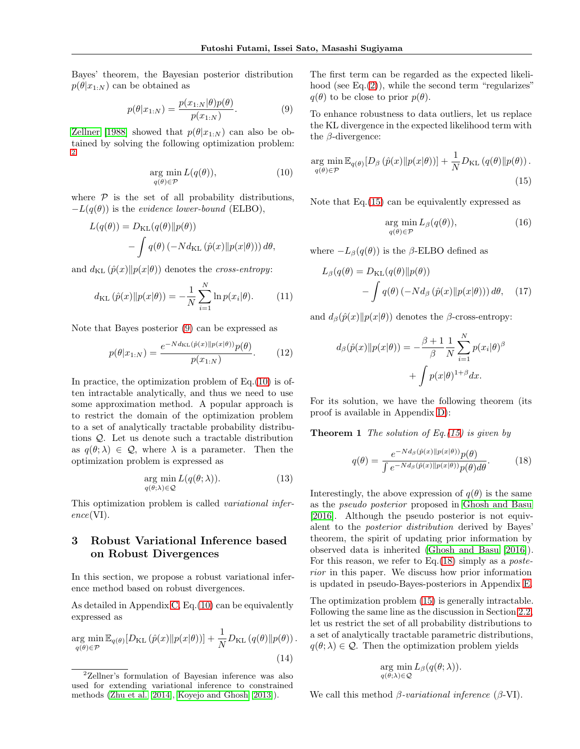Bayes' theorem, the Bayesian posterior distribution  $p(\theta|x_{1:N})$  can be obtained as

$$
p(\theta|x_{1:N}) = \frac{p(x_{1:N}|\theta)p(\theta)}{p(x_{1:N})}.
$$
 (9)

[Zellner](#page-8-7) [\[1988\]](#page-8-7) showed that  $p(\theta|x_{1:N})$  can also be obtained by solving the following optimization problem: [2](#page-2-1)

$$
\underset{q(\theta)\in\mathcal{P}}{\arg\min} L(q(\theta)),\tag{10}
$$

where  $P$  is the set of all probability distributions,  $-L(q(\theta))$  is the *evidence lower-bound* (ELBO),

$$
L(q(\theta)) = D_{\text{KL}}(q(\theta) || p(\theta))
$$
  
- 
$$
\int q(\theta) (-N d_{\text{KL}}(\hat{p}(x) || p(x|\theta))) d\theta,
$$

and  $d_{KL}(\hat{p}(x) || p(x|\theta))$  denotes the *cross-entropy*:

$$
d_{\text{KL}}(\hat{p}(x) \| p(x|\theta)) = -\frac{1}{N} \sum_{i=1}^{N} \ln p(x_i|\theta). \tag{11}
$$

Note that Bayes posterior [\(9\)](#page-2-2) can be expressed as

$$
p(\theta|x_{1:N}) = \frac{e^{-Nd_{\text{KL}}(\hat{p}(x)||p(x|\theta))}p(\theta)}{p(x_{1:N})}.
$$
 (12)

In practice, the optimization problem of Eq.[\(10\)](#page-2-3) is often intractable analytically, and thus we need to use some approximation method. A popular approach is to restrict the domain of the optimization problem to a set of analytically tractable probability distributions *Q*. Let us denote such a tractable distribution as  $q(\theta; \lambda) \in \mathcal{Q}$ , where  $\lambda$  is a parameter. Then the optimization problem is expressed as

$$
\underset{q(\theta;\lambda)\in\mathcal{Q}}{\arg\min} L(q(\theta;\lambda)).\tag{13}
$$

This optimization problem is called *variational inference*(VI).

# <span id="page-2-0"></span>**3 Robust Variational Inference based on Robust Divergences**

In this section, we propose a robust variational inference method based on robust divergences.

As detailed in Appendix C, Eq.[\(10\)](#page-2-3) can be equivalently expressed as

$$
\underset{q(\theta)\in\mathcal{P}}{\arg\min} \mathbb{E}_{q(\theta)}[D_{\text{KL}}(\hat{p}(x)||p(x|\theta))] + \frac{1}{N}D_{\text{KL}}(q(\theta)||p(\theta)).
$$
\n(14)

The first term can be regarded as the expected likelihood (see Eq. $(2)$ ), while the second term "regularizes"  $q(\theta)$  to be close to prior  $p(\theta)$ .

<span id="page-2-2"></span>To enhance robustness to data outliers, let us replace the KL divergence in the expected likelihood term with the *β*-divergence:

<span id="page-2-3"></span>
$$
\underset{q(\theta)\in\mathcal{P}}{\arg\min} \mathbb{E}_{q(\theta)}[D_{\beta}\left(\hat{p}(x)\|p(x|\theta)\right)] + \frac{1}{N}D_{\text{KL}}\left(q(\theta)\|p(\theta)\right). \tag{15}
$$

Note that Eq.[\(15\)](#page-2-4) can be equivalently expressed as

<span id="page-2-6"></span><span id="page-2-4"></span>
$$
\underset{q(\theta)\in\mathcal{P}}{\arg\min} L_{\beta}(q(\theta)),\tag{16}
$$

where  $-L_\beta(q(\theta))$  is the *β*-ELBO defined as

$$
L_{\beta}(q(\theta)) = D_{\text{KL}}(q(\theta) \| p(\theta))
$$

$$
- \int q(\theta) (-N d_{\beta} (\hat{p}(x) \| p(x|\theta))) d\theta, \quad (17)
$$

and  $d_{\beta}(\hat{p}(x)||p(x|\theta))$  denotes the *β*-cross-entropy:

$$
d_{\beta}(\hat{p}(x)||p(x|\theta)) = -\frac{\beta+1}{\beta} \frac{1}{N} \sum_{i=1}^{N} p(x_i|\theta)^{\beta}
$$

$$
+ \int p(x|\theta)^{1+\beta} dx.
$$

For its solution, we have the following theorem (its proof is available in Appendix D):

**Theorem 1** *The solution of Eq.[\(15\)](#page-2-4) is given by*

<span id="page-2-5"></span>
$$
q(\theta) = \frac{e^{-Nd_{\beta}(\hat{p}(x)||p(x|\theta))}p(\theta)}{\int e^{-Nd_{\beta}(\hat{p}(x)||p(x|\theta))}p(\theta)d\theta}.
$$
 (18)

<span id="page-2-7"></span>Interestingly, the above expression of  $q(\theta)$  is the same as the *pseudo posterior* proposed in [Ghosh and Basu](#page-8-10) [\[2016\]](#page-8-10). Although the pseudo posterior is not equivalent to the *posterior distribution* derived by Bayes' theorem, the spirit of updating prior information by observed data is inherited [\(Ghosh and Basu](#page-8-10) [\[2016\]](#page-8-10)). For this reason, we refer to Eq.[\(18\)](#page-2-5) simply as a *posterior* in this paper. We discuss how prior information is updated in pseudo-Bayes-posteriors in Appendix E.

The optimization problem [\(15\)](#page-2-4) is generally intractable. Following the same line as the discussion in Section [2.2,](#page-1-4) let us restrict the set of all probability distributions to a set of analytically tractable parametric distributions,  $q(\theta; \lambda) \in \mathcal{Q}$ . Then the optimization problem yields

$$
\arg_{q(\theta;\lambda)\in\mathcal{Q}}\min_{L_{\beta}}L_{\beta}(q(\theta;\lambda)).
$$

We call this method *β-variational inference* (*β*-VI).

<span id="page-2-1"></span><sup>2</sup>Zellner's formulation of Bayesian inference was also used for extending variational inference to constrained methods [\(Zhu et al.](#page-9-0) [\[2014\]](#page-9-0), [Koyejo and Ghosh](#page-8-15) [\[2013\]](#page-8-15)).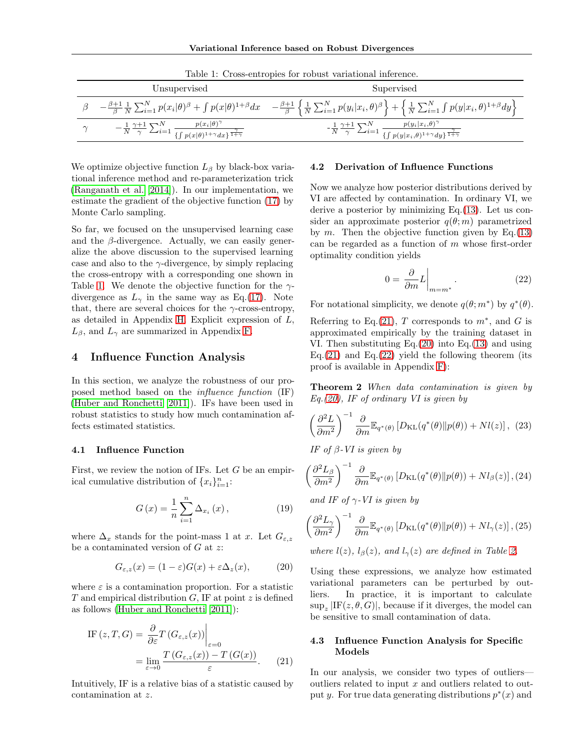| TOO THE CLOW CHULCRICH ICL LOW WAY HOLLOWICALLY HILLS CHIVE                                                                                 |                                                                                                                                                                                                                                                                                      |  |  |  |  |  |  |  |
|---------------------------------------------------------------------------------------------------------------------------------------------|--------------------------------------------------------------------------------------------------------------------------------------------------------------------------------------------------------------------------------------------------------------------------------------|--|--|--|--|--|--|--|
| Unsupervised                                                                                                                                | Supervised                                                                                                                                                                                                                                                                           |  |  |  |  |  |  |  |
|                                                                                                                                             | $\beta = \frac{\beta+1}{\beta} \frac{1}{N} \sum_{i=1}^N p(x_i \theta)^\beta + \int p(x \theta)^{1+\beta} dx = \frac{\beta+1}{\beta} \left\{ \frac{1}{N} \sum_{i=1}^N p(y_i x_i,\theta)^\beta \right\} + \left\{ \frac{1}{N} \sum_{i=1}^N \int p(y x_i,\theta)^{1+\beta} dy \right\}$ |  |  |  |  |  |  |  |
| $-\frac{1}{N}\frac{\gamma+1}{\gamma}\sum_{i=1}^N\frac{p(x_i \theta)^{\gamma}}{\{\int p(x \theta)^{1+\gamma}dx\}^{\frac{\gamma}{1+\gamma}}}$ | $-\frac{1}{N}\frac{\gamma+1}{\gamma}\sum_{i=1}^N\frac{p(y_i x_i,\theta)^\gamma}{\{\int p(y x_i,\theta)^{1+\gamma}dy\}^{\frac{\gamma}{1+\gamma}}}$                                                                                                                                    |  |  |  |  |  |  |  |

<span id="page-3-0"></span>Table 1: Cross-entropies for robust variational inference.

We optimize objective function *L<sup>β</sup>* by black-box variational inference method and re-parameterization trick [\(Ranganath et al.](#page-8-16) [\[2014\]](#page-8-16)). In our implementation, we estimate the gradient of the objective function [\(17\)](#page-2-6) by Monte Carlo sampling.

So far, we focused on the unsupervised learning case and the  $\beta$ -divergence. Actually, we can easily generalize the above discussion to the supervised learning case and also to the *γ*-divergence, by simply replacing the cross-entropy with a corresponding one shown in Table [1.](#page-3-0) We denote the objective function for the *γ*divergence as  $L<sub>\gamma</sub>$  in the same way as Eq.[\(17\)](#page-2-6). Note that, there are several choices for the  $\gamma$ -cross-entropy, as detailed in Appendix H. Explicit expression of *L*,  $L_{\beta}$ , and  $L_{\gamma}$  are summarized in Appendix F.

# **4 Influence Function Analysis**

In this section, we analyze the robustness of our proposed method based on the *influence function* (IF) [\(Huber and Ronchetti](#page-8-0) [\[2011\]](#page-8-0)). IFs have been used in robust statistics to study how much contamination affects estimated statistics.

#### **4.1 Influence Function**

First, we review the notion of IFs. Let *G* be an empirical cumulative distribution of  $\{x_i\}_{i=1}^n$ :

$$
G(x) = \frac{1}{n} \sum_{i=1}^{n} \Delta_{x_i}(x),
$$
 (19)

where  $\Delta_x$  stands for the point-mass 1 at *x*. Let  $G_{\varepsilon,z}$ be a contaminated version of *G* at *z*:

$$
G_{\varepsilon,z}(x) = (1 - \varepsilon)G(x) + \varepsilon \Delta_z(x), \tag{20}
$$

where  $\varepsilon$  is a contamination proportion. For a statistic *T* and empirical distribution *G*, IF at point *z* is defined as follows [\(Huber and Ronchetti](#page-8-0) [\[2011\]](#page-8-0)):

IF 
$$
(z, T, G) = \frac{\partial}{\partial \varepsilon} T (G_{\varepsilon, z}(x)) \Big|_{\varepsilon = 0}
$$
  
= 
$$
\lim_{\varepsilon \to 0} \frac{T (G_{\varepsilon, z}(x)) - T (G(x))}{\varepsilon}.
$$
 (21)

Intuitively, IF is a relative bias of a statistic caused by contamination at *z*.

# **4.2 Derivation of Influence Functions**

Now we analyze how posterior distributions derived by VI are affected by contamination. In ordinary VI, we derive a posterior by minimizing Eq.[\(13\)](#page-2-7). Let us consider an approximate posterior  $q(\theta; m)$  parametrized by  $m$ . Then the objective function given by Eq. [\(13\)](#page-2-7) can be regarded as a function of *m* whose first-order optimality condition yields

<span id="page-3-3"></span>
$$
0 = \left. \frac{\partial}{\partial m} L \right|_{m = m^*} . \tag{22}
$$

For notational simplicity, we denote  $q(\theta; m^*)$  by  $q^*(\theta)$ .

Referring to Eq.[\(21\)](#page-3-1), *T* corresponds to  $m^*$ , and *G* is approximated empirically by the training dataset in VI. Then substituting Eq.[\(20\)](#page-3-2) into Eq.[\(13\)](#page-2-7) and using Eq.[\(21\)](#page-3-1) and Eq.[\(22\)](#page-3-3) yield the following theorem (its proof is available in Appendix F):

**Theorem 2** *When data contamination is given by Eq.[\(20\)](#page-3-2), IF of ordinary VI is given by*

$$
\left(\frac{\partial^2 L}{\partial m^2}\right)^{-1} \frac{\partial}{\partial m} \mathbb{E}_{q^*(\theta)} \left[ D_{\mathrm{KL}}(q^*(\theta) \| p(\theta)) + N l(z) \right], (23)
$$

*IF of β-VI is given by*

$$
\left(\frac{\partial^2 L_{\beta}}{\partial m^2}\right)^{-1} \frac{\partial}{\partial m} \mathbb{E}_{q^*(\theta)} \left[ D_{\mathrm{KL}}(q^*(\theta) \| p(\theta)) + N l_{\beta}(z) \right], (24)
$$

*and IF of γ-VI is given by*

$$
\left(\frac{\partial^2 L_{\gamma}}{\partial m^2}\right)^{-1} \frac{\partial}{\partial m} \mathbb{E}_{q^*(\theta)} \left[D_{\mathrm{KL}}(q^*(\theta) \| p(\theta)) + N l_{\gamma}(z)\right], (25)
$$

<span id="page-3-2"></span>*where*  $l(z)$ *,*  $l_\beta(z)$ *, and*  $l_\gamma(z)$  *are defined in Table [2.](#page-4-0)* 

Using these expressions, we analyze how estimated variational parameters can be perturbed by outliers. In practice, it is important to calculate  $\sup_z |IF(z, \theta, G)|$ , because if it diverges, the model can be sensitive to small contamination of data.

#### <span id="page-3-4"></span><span id="page-3-1"></span>**4.3 Influence Function Analysis for Specific Models**

In our analysis, we consider two types of outliers outliers related to input *x* and outliers related to output *y*. For true data generating distributions  $p^*(x)$  and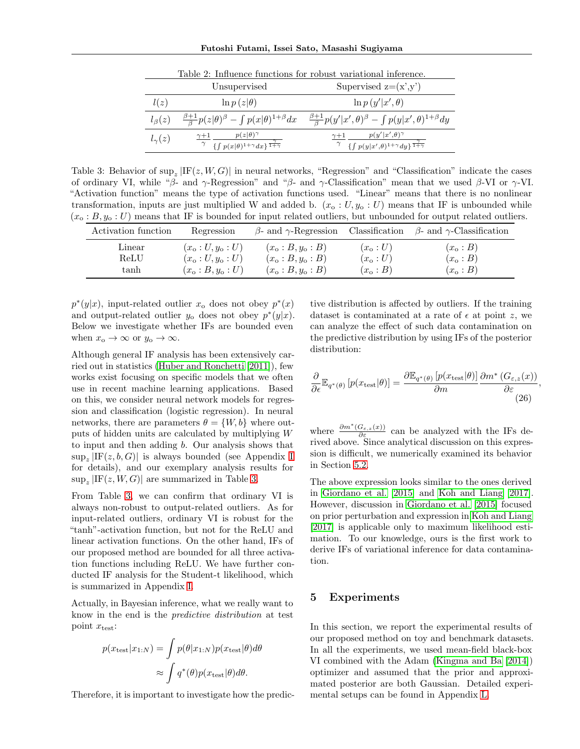<span id="page-4-0"></span>**Futoshi Futami, Issei Sato, Masashi Sugiyama**

|                 | Unsupervised                                                                      | Supervised $z=(x',y')$                                                                                          |
|-----------------|-----------------------------------------------------------------------------------|-----------------------------------------------------------------------------------------------------------------|
| l(z)            | $\ln p(z \theta)$                                                                 | $\ln p(y' x',\theta)$                                                                                           |
| $l_{\beta}(z)$  | $\frac{\beta+1}{\beta}p(z \theta)^{\beta} - \int p(x \theta)^{1+\beta}dx$         | $\frac{\beta+1}{\beta}p(y' x',\theta)^\beta-\int p(y x',\theta)^{1+\beta}dy$                                    |
| $l_{\gamma}(z)$ | $p(z \theta)^\gamma$<br>$\{\int p(x \theta)^{1+\gamma} dx\}^{\frac{1}{1+\gamma}}$ | $p(y' x',\theta)^\gamma$<br>$\gamma+1$<br>$\gamma$ { $\int p(y x',\theta)^{1+\gamma} dy$ } $\frac{1}{1+\gamma}$ |

Table 2: Influence functions for robust variational inference.

<span id="page-4-1"></span>Table 3: Behavior of  $\sup_z |F(z, W, G)|$  in neural networks, "Regression" and "Classification" indicate the cases of ordinary VI, while "*β*- and *γ*-Regression" and "*β*- and *γ*-Classification" mean that we used *β*-VI or *γ*-VI. "Activation function" means the type of activation functions used. "Linear" means that there is no nonlinear transformation, inputs are just multiplied W and added b.  $(x_0: U, y_0: U)$  means that IF is unbounded while (*x*<sup>o</sup> : *B, y*<sup>o</sup> : *U*) means that IF is bounded for input related outliers, but unbounded for output related outliers.

| Activation function | Regression           | $\beta$ - and $\gamma$ -Regression | Classification | $\beta$ - and $\gamma$ -Classification |
|---------------------|----------------------|------------------------------------|----------------|----------------------------------------|
| Linear              | $(x_0:U, y_0:U)$     | $(x_0 : B, y_0 : B)$               | $(x_0:U)$      | $(x_{o}:B)$                            |
| ReLU                | $(x_0:U, y_0:U)$     | $(x_0 : B, y_0 : B)$               | $(x_0:U)$      | $(x_{o}:B)$                            |
| tanh                | $(x_0 : B, y_0 : U)$ | $(x_0 : B, y_0 : B)$               | $(x_0 : B)$    | $(x_0 : B)$                            |

 $p^*(y|x)$ , input-related outlier  $x_0$  does not obey  $p^*(x)$ and output-related outlier  $y_0$  does not obey  $p^*(y|x)$ . Below we investigate whether IFs are bounded even when  $x_o \to \infty$  or  $y_o \to \infty$ .

Although general IF analysis has been extensively carried out in statistics [\(Huber and Ronchetti](#page-8-0) [\[2011\]](#page-8-0)), few works exist focusing on specific models that we often use in recent machine learning applications. Based on this, we consider neural network models for regression and classification (logistic regression). In neural networks, there are parameters  $\theta = \{W, b\}$  where outputs of hidden units are calculated by multiplying *W* to input and then adding *b*. Our analysis shows that  $\sup_z |IF(z, b, G)|$  is always bounded (see Appendix I for details), and our exemplary analysis results for  $\sup_z |IF(z, W, G)|$  are summarized in Table [3.](#page-4-1)

From Table [3,](#page-4-1) we can confirm that ordinary VI is always non-robust to output-related outliers. As for input-related outliers, ordinary VI is robust for the "tanh"-activation function, but not for the ReLU and linear activation functions. On the other hand, IFs of our proposed method are bounded for all three activation functions including ReLU. We have further conducted IF analysis for the Student-t likelihood, which is summarized in Appendix I.

Actually, in Bayesian inference, what we really want to know in the end is the *predictive distribution* at test point  $x_{\text{test}}$ :

$$
p(x_{\text{test}}|x_{1:N}) = \int p(\theta|x_{1:N})p(x_{\text{test}}|\theta)d\theta
$$

$$
\approx \int q^*(\theta)p(x_{\text{test}}|\theta)d\theta.
$$

Therefore, it is important to investigate how the predic-

tive distribution is affected by outliers. If the training dataset is contaminated at a rate of  $\epsilon$  at point *z*, we can analyze the effect of such data contamination on the predictive distribution by using IFs of the posterior distribution:

<span id="page-4-2"></span>
$$
\frac{\partial}{\partial \epsilon} \mathbb{E}_{q^*(\theta)} \left[ p(x_{\text{test}}|\theta) \right] = \frac{\partial \mathbb{E}_{q^*(\theta)} \left[ p(x_{\text{test}}|\theta) \right]}{\partial m} \frac{\partial m^*(G_{\varepsilon,z}(x))}{\partial \varepsilon},\tag{26}
$$

where  $\frac{\partial m^*(G_{\varepsilon,z}(x))}{\partial \varepsilon}$  can be analyzed with the IFs derived above. Since analytical discussion on this expression is difficult, we numerically examined its behavior in Section [5.2.](#page-5-0)

The above expression looks similar to the ones derived in [Giordano et al.](#page-8-17) [\[2015\]](#page-8-17) and [Koh and Liang](#page-8-18) [\[2017\]](#page-8-18). However, discussion in [Giordano et al.](#page-8-17) [\[2015\]](#page-8-17) focused on prior perturbation and expression in [Koh and Liang](#page-8-18) [\[2017\]](#page-8-18) is applicable only to maximum likelihood estimation. To our knowledge, ours is the first work to derive IFs of variational inference for data contamination.

# **5 Experiments**

In this section, we report the experimental results of our proposed method on toy and benchmark datasets. In all the experiments, we used mean-field black-box VI combined with the Adam [\(Kingma and Ba](#page-8-19) [\[2014\]](#page-8-19)) optimizer and assumed that the prior and approximated posterior are both Gaussian. Detailed experimental setups can be found in Appendix L.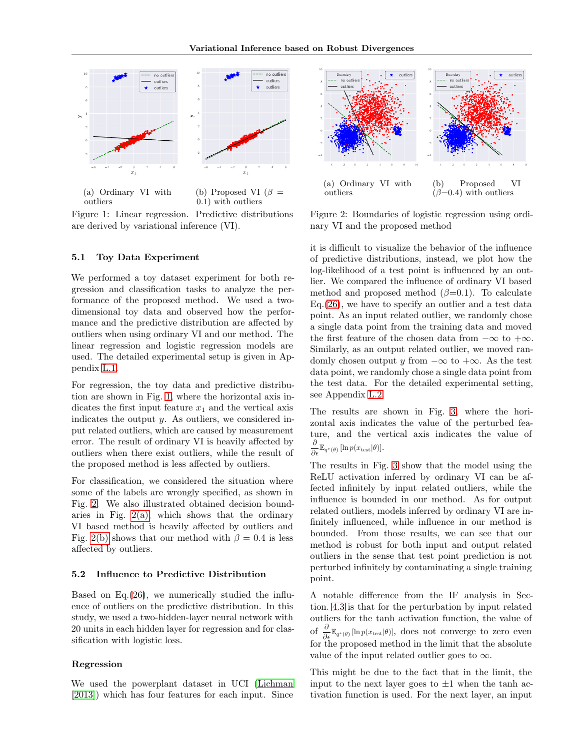

0*.*1) with outliers

Figure 1: Linear regression. Predictive distributions are derived by variational inference (VI).

#### **5.1 Toy Data Experiment**

<span id="page-5-1"></span>outliers

We performed a toy dataset experiment for both regression and classification tasks to analyze the performance of the proposed method. We used a twodimensional toy data and observed how the performance and the predictive distribution are affected by outliers when using ordinary VI and our method. The linear regression and logistic regression models are used. The detailed experimental setup is given in Appendix L.1.

For regression, the toy data and predictive distribution are shown in Fig. [1,](#page-5-1) where the horizontal axis indicates the first input feature  $x_1$  and the vertical axis indicates the output *y*. As outliers, we considered input related outliers, which are caused by measurement error. The result of ordinary VI is heavily affected by outliers when there exist outliers, while the result of the proposed method is less affected by outliers.

For classification, we considered the situation where some of the labels are wrongly specified, as shown in Fig. [2.](#page-5-2) We also illustrated obtained decision boundaries in Fig.  $2(a)$ , which shows that the ordinary VI based method is heavily affected by outliers and Fig. [2\(b\)](#page-5-4) shows that our method with  $\beta = 0.4$  is less affected by outliers.

#### <span id="page-5-0"></span>**5.2 Influence to Predictive Distribution**

Based on Eq.[\(26\)](#page-4-2), we numerically studied the influence of outliers on the predictive distribution. In this study, we used a two-hidden-layer neural network with 20 units in each hidden layer for regression and for classification with logistic loss.

#### **Regression**

We used the powerplant dataset in UCI [\(Lichman](#page-8-20) [\[2013\]](#page-8-20)) which has four features for each input. Since



<span id="page-5-4"></span><span id="page-5-3"></span><span id="page-5-2"></span>Figure 2: Boundaries of logistic regression using ordinary VI and the proposed method

it is difficult to visualize the behavior of the influence of predictive distributions, instead, we plot how the log-likelihood of a test point is influenced by an outlier. We compared the influence of ordinary VI based method and proposed method  $(\beta=0.1)$ . To calculate  $Eq.(26)$  $Eq.(26)$ , we have to specify an outlier and a test data point. As an input related outlier, we randomly chose a single data point from the training data and moved the first feature of the chosen data from *−∞* to +*∞*. Similarly, as an output related outlier, we moved randomly chosen output *y* from  $-\infty$  to  $+\infty$ . As the test data point, we randomly chose a single data point from the test data. For the detailed experimental setting, see Appendix L.2.

The results are shown in Fig. [3,](#page-6-0) where the horizontal axis indicates the value of the perturbed feature, and the vertical axis indicates the value of  $\frac{\partial}{\partial \epsilon} \mathbb{E}_{q^*(\theta)} [\ln p(x_{\text{test}}|\theta)].$ 

The results in Fig. [3](#page-6-0) show that the model using the ReLU activation inferred by ordinary VI can be affected infinitely by input related outliers, while the influence is bounded in our method. As for output related outliers, models inferred by ordinary VI are infinitely influenced, while influence in our method is bounded. From those results, we can see that our method is robust for both input and output related outliers in the sense that test point prediction is not perturbed infinitely by contaminating a single training point.

A notable difference from the IF analysis in Section. [4.3](#page-3-4) is that for the perturbation by input related outliers for the tanh activation function, the value of of *<sup>∂</sup> ∂ϵ*E*<sup>q</sup>∗*(*θ*) [ln *p*(*x*test*|θ*)], does not converge to zero even for the proposed method in the limit that the absolute value of the input related outlier goes to *∞*.

This might be due to the fact that in the limit, the input to the next layer goes to  $\pm 1$  when the tanh activation function is used. For the next layer, an input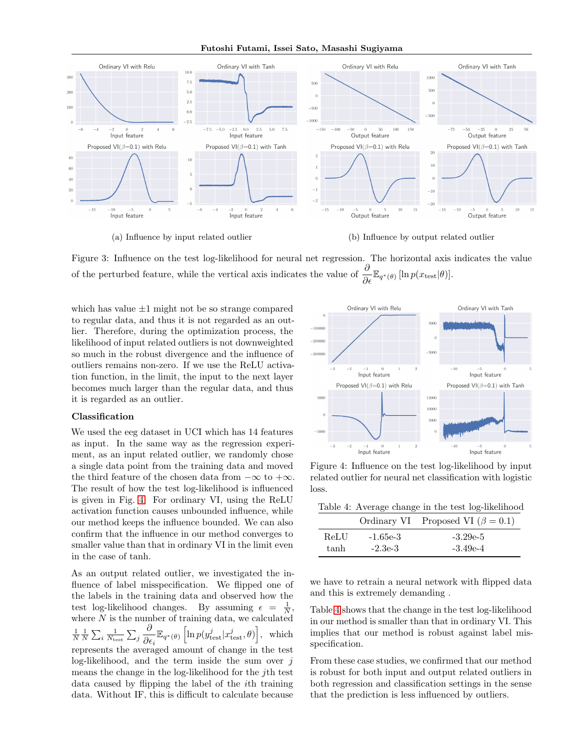**Futoshi Futami, Issei Sato, Masashi Sugiyama**



<span id="page-6-0"></span>

(a) Influence by input related outlier (b) Influence by output related outlier

Figure 3: Influence on the test log-likelihood for neural net regression. The horizontal axis indicates the value of the perturbed feature, while the vertical axis indicates the value of  $\frac{\partial}{\partial \epsilon} \mathbb{E}_{q^*(\theta)} [\ln p(x_{\text{test}}|\theta)].$ 

which has value *±*1 might not be so strange compared to regular data, and thus it is not regarded as an outlier. Therefore, during the optimization process, the likelihood of input related outliers is not downweighted so much in the robust divergence and the influence of outliers remains non-zero. If we use the ReLU activation function, in the limit, the input to the next layer becomes much larger than the regular data, and thus it is regarded as an outlier.

#### **Classification**

We used the eeg dataset in UCI which has 14 features as input. In the same way as the regression experiment, as an input related outlier, we randomly chose a single data point from the training data and moved the third feature of the chosen data from *−∞* to +*∞*. The result of how the test log-likelihood is influenced is given in Fig. [4.](#page-6-1) For ordinary VI, using the ReLU activation function causes unbounded influence, while our method keeps the influence bounded. We can also confirm that the influence in our method converges to smaller value than that in ordinary VI in the limit even in the case of tanh.

As an output related outlier, we investigated the influence of label misspecification. We flipped one of the labels in the training data and observed how the test log-likelihood changes. By assuming  $\epsilon = \frac{1}{N}$ , where  $N$  is the number of training data, we calculated  $\frac{1}{N} \frac{1}{N} \sum_i \frac{1}{N_{\text{test}}} \sum_j$ *∂*  $\frac{\partial}{\partial \epsilon_i} \mathbb{E}_{q^*(\theta)} \left[ \ln p(y_{\text{test}}^j | x_{\text{test}}^j, \theta) \right], \text{ which}$ represents the averaged amount of change in the test log-likelihood, and the term inside the sum over *j* means the change in the log-likelihood for the *j*th test data caused by flipping the label of the *i*th training data. Without IF, this is difficult to calculate because



<span id="page-6-1"></span>Figure 4: Influence on the test log-likelihood by input related outlier for neural net classification with logistic loss.

<span id="page-6-2"></span>Table 4: Average change in the test log-likelihood

|      |            | Ordinary VI Proposed VI ( $\beta = 0.1$ ) |
|------|------------|-------------------------------------------|
| ReLU | $-1.65e-3$ | $-3.29e-5$                                |
| tanh | $-2.3e-3$  | $-3.49e-4$                                |

we have to retrain a neural network with flipped data and this is extremely demanding .

Table [4](#page-6-2) shows that the change in the test log-likelihood in our method is smaller than that in ordinary VI. This implies that our method is robust against label misspecification.

From these case studies, we confirmed that our method is robust for both input and output related outliers in both regression and classification settings in the sense that the prediction is less influenced by outliers.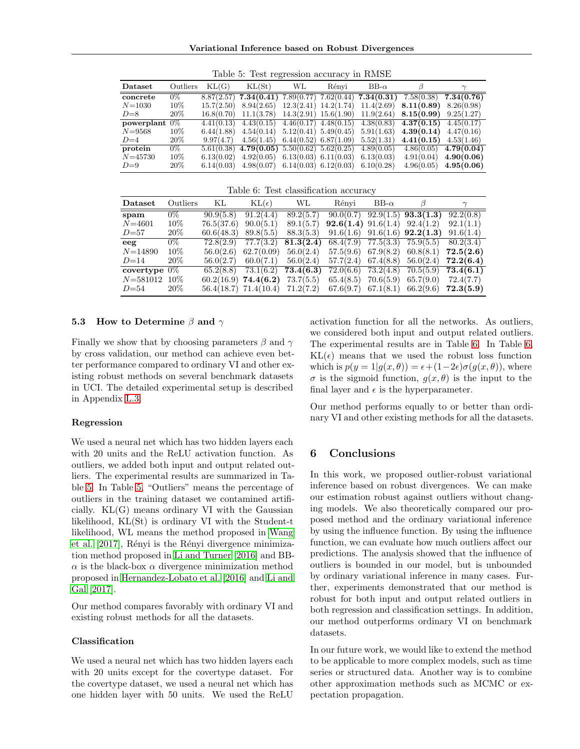**Variational Inference based on Robust Divergences**

| Dataset          | Outliers | KL(G)      | KL(St)                                               | WL                        | Rénvi                     | BB- $\alpha$                           | В          |            |
|------------------|----------|------------|------------------------------------------------------|---------------------------|---------------------------|----------------------------------------|------------|------------|
| concrete         | $0\%$    |            | $8.87(2.57)$ 7.34(0.41)                              |                           |                           | $7.89(0.77)$ $7.62(0.44)$ $7.34(0.31)$ | 7.58(0.38) | 7.34(0.76) |
| $N = 1030$       | 10%      | 15.7(2.50) | 8.94(2.65)                                           |                           | $12.3(2.41)$ $14.2(1.74)$ | 11.4(2.69)                             | 8.11(0.89) | 8.26(0.98) |
| $D=8$            | $20\%$   | 16.8(0.70) | 11.1(3.78)                                           |                           | $14.3(2.91)$ $15.6(1.90)$ | 11.9(2.64)                             | 8.15(0.99) | 9.25(1.27) |
| powerplant $0\%$ |          | 4.41(0.13) | 4.43(0.15)                                           | $4.46(0.17)$ $4.48(0.15)$ |                           | 4.38(0.83)                             | 4.37(0.15) | 4.45(0.17) |
| $N = 9568$       | $10\%$   | 6.44(1.88) | 4.54(0.14)                                           | $5.12(0.41)$ $5.49(0.45)$ |                           | 5.91(1.63)                             | 4.39(0.14) | 4.47(0.16) |
| $D=4$            | 20%      | 9.97(4.7)  | 4.56(1.45)                                           | $6.44(0.52)$ $6.87(1.09)$ |                           | 5.52(1.31)                             | 4.41(0.15) | 4.53(1.46) |
| protein          | 0%       |            | $5.61(0.38)$ 4.79 $(0.05)$ $5.50(0.62)$ $5.62(0.25)$ |                           |                           | 4.89(0.05)                             | 4.86(0.05) | 4.79(0.04) |
| $N = 45730$      | 10%      | 6.13(0.02) | $4.92(0.05)$ 6.13(0.03) 6.11(0.03)                   |                           |                           | 6.13(0.03)                             | 4.91(0.04) | 4.90(0.06) |
| $D=9$            | $20\%$   | 6.14(0.03) | $4.98(0.07)$ 6.14(0.03) 6.12(0.03)                   |                           |                           | 6.10(0.28)                             | 4.96(0.05) | 4.95(0.06) |

<span id="page-7-0"></span>Table 5: Test regression accuracy in RMSE

<span id="page-7-1"></span>

|  | Table 6: Test classification accuracy |  |
|--|---------------------------------------|--|
|  |                                       |  |

| Dataset         | Outliers | KL         | $KL(\epsilon)$            | WL        | Rényi                                | BB- $\alpha$ | $\beta$                             |           |
|-----------------|----------|------------|---------------------------|-----------|--------------------------------------|--------------|-------------------------------------|-----------|
| spam            | $0\%$    | 90.9(5.8)  | 91.2(4.4)                 | 89.2(5.7) |                                      |              | $90.0(0.7)$ $92.9(1.5)$ $93.3(1.3)$ | 92.2(0.8) |
| $N = 4601$      | $10\%$   | 76.5(37.6) | 90.0(5.1)                 | 89.1(5.7) | <b>92.6(1.4)</b> 91.6(1.4) 92.4(1.2) |              |                                     | 92.1(1.1) |
| $D = 57$        | 20%      | 60.6(48.3) | 89.8(5.5)                 | 88.3(5.3) |                                      |              | $91.6(1.6)$ $91.6(1.6)$ $92.2(1.3)$ | 91.6(1.4) |
| eeg             | $0\%$    | 72.8(2.9)  | 77.7(3.2)                 | 81.3(2.4) |                                      |              | $68.4(7.9)$ $77.5(3.3)$ $75.9(5.5)$ | 80.2(3.4) |
| $N = 14890$     | 10%      | 56.0(2.6)  | 62.7(0.09)                | 56.0(2.4) |                                      |              | $57.5(9.6)$ $67.9(8.2)$ $60.8(8.1)$ | 72.5(2.6) |
| $D=14$          | 20%      |            | $56.0(2.7)$ $60.0(7.1)$   | 56.0(2.4) |                                      |              | $57.7(2.4)$ $67.4(8.8)$ $56.0(2.4)$ | 72.2(6.4) |
| covertype $0\%$ |          |            | $65.2(8.8)$ $73.1(6.2)$   | 73.4(6.3) |                                      |              | $72.0(6.6)$ $73.2(4.8)$ $70.5(5.9)$ | 73.4(6.1) |
| $N = 581012$    | $10\%$   |            | $60.2(16.9)$ 74.4(6.2)    | 73.7(5.5) |                                      |              | $65.4(8.5)$ $70.6(5.9)$ $65.7(9.0)$ | 72.4(7.7) |
| $D = 54$        | 20\%     |            | $56.4(18.7)$ $71.4(10.4)$ | 71.2(7.2) | $67.6(9.7)$ $67.1(8.1)$ $66.2(9.6)$  |              |                                     | 72.3(5.9) |

#### **5.3 How to Determine** *β* **and** *γ*

Finally we show that by choosing parameters *β* and *γ* by cross validation, our method can achieve even better performance compared to ordinary VI and other existing robust methods on several benchmark datasets in UCI. The detailed experimental setup is described in Appendix L.3.

#### **Regression**

We used a neural net which has two hidden layers each with 20 units and the ReLU activation function. As outliers, we added both input and output related outliers. The experimental results are summarized in Table [5.](#page-7-0) In Table [5,](#page-7-0) "Outliers" means the percentage of outliers in the training dataset we contamined artificially. KL(G) means ordinary VI with the Gaussian likelihood, KL(St) is ordinary VI with the Student-t likelihood, WL means the method proposed in [Wang](#page-8-6) [et al.](#page-8-6)  $[2017]$ , Rényi is the Rényi divergence minimization method proposed in [Li and Turner](#page-8-21) [\[2016\]](#page-8-21) and BB- $\alpha$  is the black-box  $\alpha$  divergence minimization method proposed in [Hernandez-Lobato et al.](#page-8-22) [\[2016\]](#page-8-22) and [Li and](#page-8-23) [Gal](#page-8-23) [\[2017\]](#page-8-23).

Our method compares favorably with ordinary VI and existing robust methods for all the datasets.

#### **Classification**

We used a neural net which has two hidden layers each with 20 units except for the covertype dataset. For the covertype dataset, we used a neural net which has one hidden layer with 50 units. We used the ReLU

activation function for all the networks. As outliers, we considered both input and output related outliers. The experimental results are in Table [6.](#page-7-1) In Table [6,](#page-7-1)  $KL(\epsilon)$  means that we used the robust loss function which is  $p(y = 1|g(x, \theta)) = \epsilon + (1-2\epsilon)\sigma(g(x, \theta))$ , where  $\sigma$  is the sigmoid function,  $g(x, \theta)$  is the input to the final layer and  $\epsilon$  is the hyperparameter.

Our method performs equally to or better than ordinary VI and other existing methods for all the datasets.

# **6 Conclusions**

In this work, we proposed outlier-robust variational inference based on robust divergences. We can make our estimation robust against outliers without changing models. We also theoretically compared our proposed method and the ordinary variational inference by using the influence function. By using the influence function, we can evaluate how much outliers affect our predictions. The analysis showed that the influence of outliers is bounded in our model, but is unbounded by ordinary variational inference in many cases. Further, experiments demonstrated that our method is robust for both input and output related outliers in both regression and classification settings. In addition, our method outperforms ordinary VI on benchmark datasets.

In our future work, we would like to extend the method to be applicable to more complex models, such as time series or structured data. Another way is to combine other approximation methods such as MCMC or expectation propagation.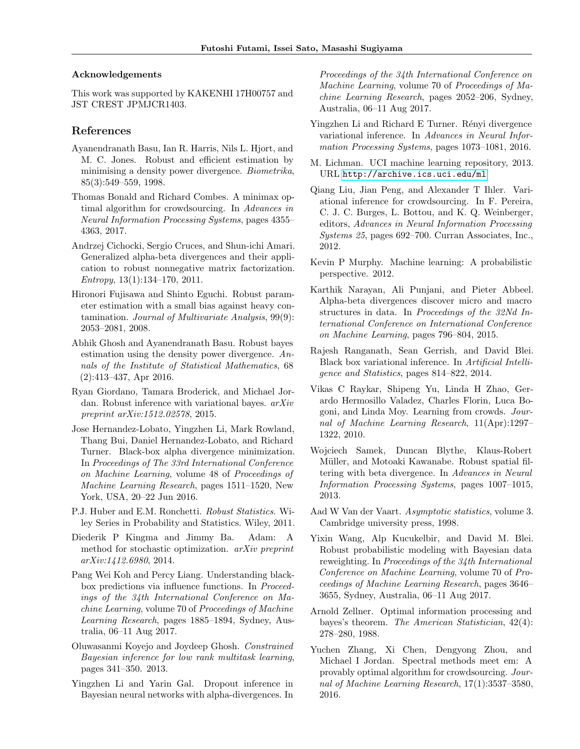#### **Acknowledgements**

This work was supported by KAKENHI 17H00757 and JST CREST JPMJCR1403.

# **References**

- <span id="page-8-8"></span>Ayanendranath Basu, Ian R. Harris, Nils L. Hjort, and M. C. Jones. Robust and efficient estimation by minimising a density power divergence. *Biometrika*, 85(3):549–559, 1998.
- <span id="page-8-4"></span>Thomas Bonald and Richard Combes. A minimax optimal algorithm for crowdsourcing. In *Advances in Neural Information Processing Systems*, pages 4355– 4363, 2017.
- <span id="page-8-14"></span>Andrzej Cichocki, Sergio Cruces, and Shun-ichi Amari. Generalized alpha-beta divergences and their application to robust nonnegative matrix factorization. *Entropy*, 13(1):134–170, 2011.
- <span id="page-8-9"></span>Hironori Fujisawa and Shinto Eguchi. Robust parameter estimation with a small bias against heavy contamination. *Journal of Multivariate Analysis*, 99(9): 2053–2081, 2008.
- <span id="page-8-10"></span>Abhik Ghosh and Ayanendranath Basu. Robust bayes estimation using the density power divergence. *Annals of the Institute of Statistical Mathematics*, 68 (2):413–437, Apr 2016.
- <span id="page-8-17"></span>Ryan Giordano, Tamara Broderick, and Michael Jordan. Robust inference with variational bayes. *arXiv preprint arXiv:1512.02578*, 2015.
- <span id="page-8-22"></span>Jose Hernandez-Lobato, Yingzhen Li, Mark Rowland, Thang Bui, Daniel Hernandez-Lobato, and Richard Turner. Black-box alpha divergence minimization. In *Proceedings of The 33rd International Conference on Machine Learning*, volume 48 of *Proceedings of Machine Learning Research*, pages 1511–1520, New York, USA, 20–22 Jun 2016.
- <span id="page-8-0"></span>P.J. Huber and E.M. Ronchetti. *Robust Statistics*. Wiley Series in Probability and Statistics. Wiley, 2011.
- <span id="page-8-19"></span>Diederik P Kingma and Jimmy Ba. Adam: A method for stochastic optimization. *arXiv preprint arXiv:1412.6980*, 2014.
- <span id="page-8-18"></span>Pang Wei Koh and Percy Liang. Understanding blackbox predictions via influence functions. In *Proceedings of the 34th International Conference on Machine Learning*, volume 70 of *Proceedings of Machine Learning Research*, pages 1885–1894, Sydney, Australia, 06–11 Aug 2017.
- <span id="page-8-15"></span>Oluwasanmi Koyejo and Joydeep Ghosh. *Constrained Bayesian inference for low rank multitask learning*, pages 341–350. 2013.
- <span id="page-8-23"></span>Yingzhen Li and Yarin Gal. Dropout inference in Bayesian neural networks with alpha-divergences. In

*Proceedings of the 34th International Conference on Machine Learning*, volume 70 of *Proceedings of Machine Learning Research*, pages 2052–206, Sydney, Australia, 06–11 Aug 2017.

- <span id="page-8-21"></span>Yingzhen Li and Richard E Turner. Rényi divergence variational inference. In *Advances in Neural Information Processing Systems*, pages 1073–1081, 2016.
- <span id="page-8-20"></span>M. Lichman. UCI machine learning repository, 2013. URL <http://archive.ics.uci.edu/ml>.
- <span id="page-8-3"></span>Qiang Liu, Jian Peng, and Alexander T Ihler. Variational inference for crowdsourcing. In F. Pereira, C. J. C. Burges, L. Bottou, and K. Q. Weinberger, editors, *Advances in Neural Information Processing Systems 25*, pages 692–700. Curran Associates, Inc., 2012.
- <span id="page-8-5"></span>Kevin P Murphy. Machine learning: A probabilistic perspective. 2012.
- <span id="page-8-12"></span>Karthik Narayan, Ali Punjani, and Pieter Abbeel. Alpha-beta divergences discover micro and macro structures in data. In *Proceedings of the 32Nd International Conference on International Conference on Machine Learning*, pages 796–804, 2015.
- <span id="page-8-16"></span>Rajesh Ranganath, Sean Gerrish, and David Blei. Black box variational inference. In *Artificial Intelligence and Statistics*, pages 814–822, 2014.
- <span id="page-8-1"></span>Vikas C Raykar, Shipeng Yu, Linda H Zhao, Gerardo Hermosillo Valadez, Charles Florin, Luca Bogoni, and Linda Moy. Learning from crowds. *Journal of Machine Learning Research*, 11(Apr):1297– 1322, 2010.
- <span id="page-8-13"></span>Wojciech Samek, Duncan Blythe, Klaus-Robert Müller, and Motoaki Kawanabe. Robust spatial filtering with beta divergence. In *Advances in Neural Information Processing Systems*, pages 1007–1015, 2013.
- <span id="page-8-11"></span>Aad W Van der Vaart. *Asymptotic statistics*, volume 3. Cambridge university press, 1998.
- <span id="page-8-6"></span>Yixin Wang, Alp Kucukelbir, and David M. Blei. Robust probabilistic modeling with Bayesian data reweighting. In *Proceedings of the 34th International Conference on Machine Learning*, volume 70 of *Proceedings of Machine Learning Research*, pages 3646– 3655, Sydney, Australia, 06–11 Aug 2017.
- <span id="page-8-7"></span>Arnold Zellner. Optimal information processing and bayes's theorem. *The American Statistician*, 42(4): 278–280, 1988.
- <span id="page-8-2"></span>Yuchen Zhang, Xi Chen, Dengyong Zhou, and Michael I Jordan. Spectral methods meet em: A provably optimal algorithm for crowdsourcing. *Journal of Machine Learning Research*, 17(1):3537–3580, 2016.